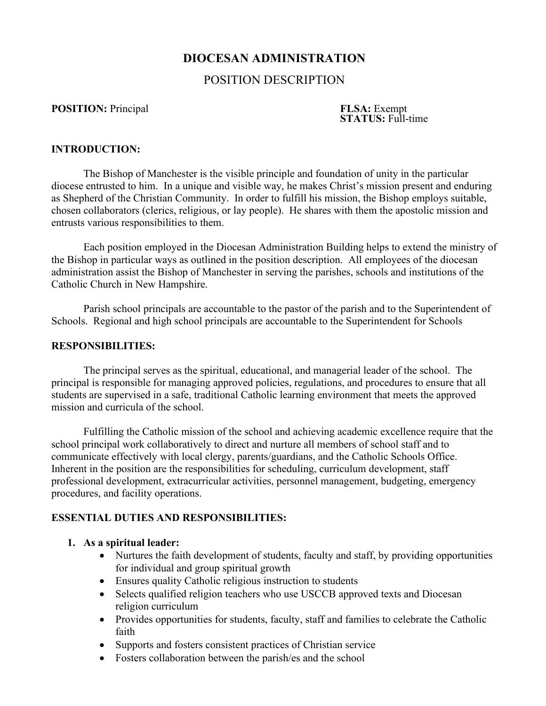# **DIOCESAN ADMINISTRATION**

## POSITION DESCRIPTION

**POSITION:** Principal **FLSA:** Exempt **FLSA:** Exempt **STATUS:** Full-time

## **INTRODUCTION:**

The Bishop of Manchester is the visible principle and foundation of unity in the particular diocese entrusted to him. In a unique and visible way, he makes Christ's mission present and enduring as Shepherd of the Christian Community. In order to fulfill his mission, the Bishop employs suitable, chosen collaborators (clerics, religious, or lay people). He shares with them the apostolic mission and entrusts various responsibilities to them.

Each position employed in the Diocesan Administration Building helps to extend the ministry of the Bishop in particular ways as outlined in the position description. All employees of the diocesan administration assist the Bishop of Manchester in serving the parishes, schools and institutions of the Catholic Church in New Hampshire.

Parish school principals are accountable to the pastor of the parish and to the Superintendent of Schools. Regional and high school principals are accountable to the Superintendent for Schools

### **RESPONSIBILITIES:**

The principal serves as the spiritual, educational, and managerial leader of the school. The principal is responsible for managing approved policies, regulations, and procedures to ensure that all students are supervised in a safe, traditional Catholic learning environment that meets the approved mission and curricula of the school.

Fulfilling the Catholic mission of the school and achieving academic excellence require that the school principal work collaboratively to direct and nurture all members of school staff and to communicate effectively with local clergy, parents/guardians, and the Catholic Schools Office. Inherent in the position are the responsibilities for scheduling, curriculum development, staff professional development, extracurricular activities, personnel management, budgeting, emergency procedures, and facility operations.

#### **ESSENTIAL DUTIES AND RESPONSIBILITIES:**

#### **1. As a spiritual leader:**

- Nurtures the faith development of students, faculty and staff, by providing opportunities for individual and group spiritual growth
- Ensures quality Catholic religious instruction to students
- Selects qualified religion teachers who use USCCB approved texts and Diocesan religion curriculum
- Provides opportunities for students, faculty, staff and families to celebrate the Catholic faith
- Supports and fosters consistent practices of Christian service
- Fosters collaboration between the parish/es and the school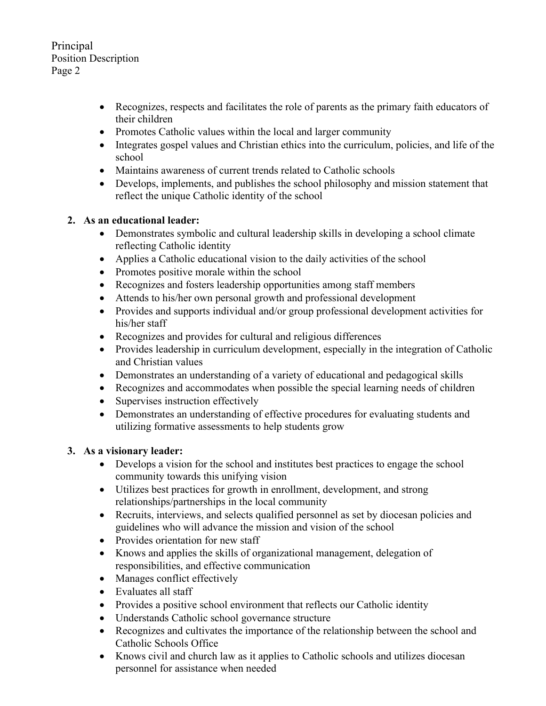Principal Position Description Page 2

- Recognizes, respects and facilitates the role of parents as the primary faith educators of their children
- Promotes Catholic values within the local and larger community
- Integrates gospel values and Christian ethics into the curriculum, policies, and life of the school
- Maintains awareness of current trends related to Catholic schools
- Develops, implements, and publishes the school philosophy and mission statement that reflect the unique Catholic identity of the school

## **2. As an educational leader:**

- Demonstrates symbolic and cultural leadership skills in developing a school climate reflecting Catholic identity
- Applies a Catholic educational vision to the daily activities of the school
- Promotes positive morale within the school
- Recognizes and fosters leadership opportunities among staff members
- Attends to his/her own personal growth and professional development
- Provides and supports individual and/or group professional development activities for his/her staff
- Recognizes and provides for cultural and religious differences
- Provides leadership in curriculum development, especially in the integration of Catholic and Christian values
- Demonstrates an understanding of a variety of educational and pedagogical skills
- Recognizes and accommodates when possible the special learning needs of children
- Supervises instruction effectively
- Demonstrates an understanding of effective procedures for evaluating students and utilizing formative assessments to help students grow

## **3. As a visionary leader:**

- Develops a vision for the school and institutes best practices to engage the school community towards this unifying vision
- Utilizes best practices for growth in enrollment, development, and strong relationships/partnerships in the local community
- Recruits, interviews, and selects qualified personnel as set by diocesan policies and guidelines who will advance the mission and vision of the school
- Provides orientation for new staff
- Knows and applies the skills of organizational management, delegation of responsibilities, and effective communication
- Manages conflict effectively
- Evaluates all staff
- Provides a positive school environment that reflects our Catholic identity
- Understands Catholic school governance structure
- Recognizes and cultivates the importance of the relationship between the school and Catholic Schools Office
- Knows civil and church law as it applies to Catholic schools and utilizes diocesan personnel for assistance when needed